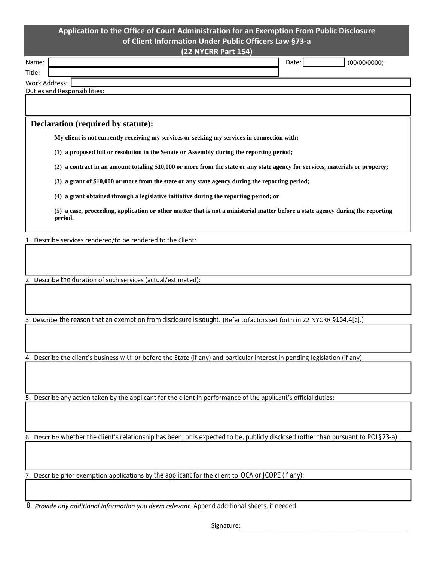## **Application to the Office of Court Administration for an Exemption From Public Disclosure of Client Information Under Public Officers Law §73‐a**

**(22 NYCRR Part 154)**

| Name:         |                              | Date: |  | (00/00/0000) |
|---------------|------------------------------|-------|--|--------------|
| Title:        |                              |       |  |              |
| Work Address: |                              |       |  |              |
|               | Duties and Responsibilities: |       |  |              |

## **Declaration (required by statute):**

**My client is not currently receiving my services or seeking my services in connection with:**

**(1) a proposed bill or resolution in the Senate or Assembly during the reporting period;**

**(2) a contract in an amount totaling \$10,000 or more from the state or any state agency for services, materials or property;**

**(3) a grant of \$10,000 or more from the state or any state agency during the reporting period;**

**(4) a grant obtained through a legislative initiative during the reporting period; or**

**(5) a case, proceeding, application or other matter that is not a ministerial matter before a state agency during the reporting period.**

1. Describe services rendered/to be rendered to the client:

2. Describe the duration of such services (actual/estimated):

3. Describe the reason that an exemption from disclosure is sought. (Refertofactorsset forth in 22 NYCRR §154.4[a].)

4. Describe the client's business with or before the State (if any) and particular interest in pending legislation (if any):

5. Describe any action taken by the applicant for the client in performance of the applicant's official duties:

6. Describe whether the client's relationship has been, or is expected to be, publicly disclosed (other than pursuant to POL§73-a):

7. Describe prior exemption applications by the applicant for the client to OCA or JCOPE (if any):

 *Provide any additional information you deem relevant. Append additional sheets, if needed.* 8.

Signature: \_\_\_\_\_\_\_\_\_\_\_\_\_\_\_\_\_\_\_\_\_\_\_\_\_\_\_\_\_\_\_\_\_\_\_\_\_\_\_\_\_\_\_\_\_\_\_\_\_\_\_\_\_\_\_\_